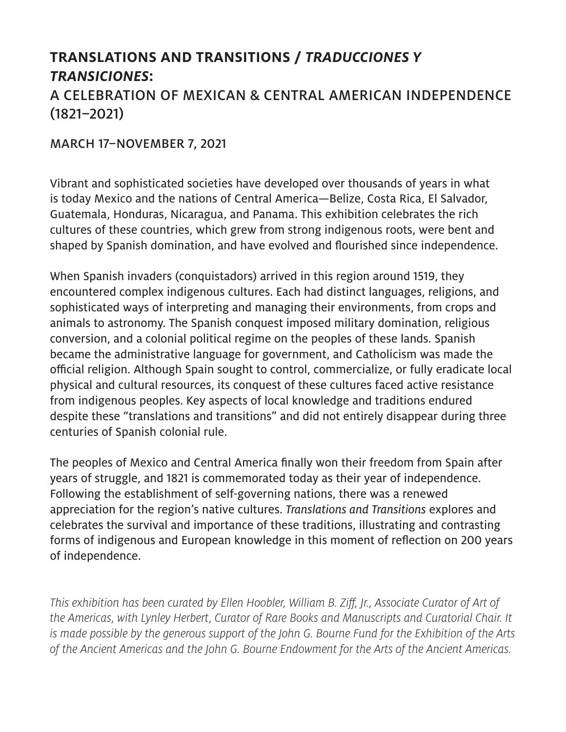# **TRANSLATIONS AND TRANSITIONS /** *TRADUCCIONES Y TRANSICIONES***:**  A CELEBRATION OF MEXICAN & CENTRAL AMERICAN INDEPENDENCE (1821–2021)

### MARCH 17–NOVEMBER 7, 2021

Vibrant and sophisticated societies have developed over thousands of years in what is today Mexico and the nations of Central America—Belize, Costa Rica, El Salvador, Guatemala, Honduras, Nicaragua, and Panama. This exhibition celebrates the rich cultures of these countries, which grew from strong indigenous roots, were bent and shaped by Spanish domination, and have evolved and flourished since independence.

When Spanish invaders (conquistadors) arrived in this region around 1519, they encountered complex indigenous cultures. Each had distinct languages, religions, and sophisticated ways of interpreting and managing their environments, from crops and animals to astronomy. The Spanish conquest imposed military domination, religious conversion, and a colonial political regime on the peoples of these lands. Spanish became the administrative language for government, and Catholicism was made the official religion. Although Spain sought to control, commercialize, or fully eradicate local physical and cultural resources, its conquest of these cultures faced active resistance from indigenous peoples. Key aspects of local knowledge and traditions endured despite these "translations and transitions" and did not entirely disappear during three centuries of Spanish colonial rule.

The peoples of Mexico and Central America finally won their freedom from Spain after years of struggle, and 1821 is commemorated today as their year of independence. Following the establishment of self-governing nations, there was a renewed appreciation for the region's native cultures. *Translations and Transitions* explores and celebrates the survival and importance of these traditions, illustrating and contrasting forms of indigenous and European knowledge in this moment of reflection on 200 years of independence.

*This exhibition has been curated by Ellen Hoobler, William B. Ziff, Jr., Associate Curator of Art of the Americas, with Lynley Herbert, Curator of Rare Books and Manuscripts and Curatorial Chair. It is made possible by the generous support of the John G. Bourne Fund for the Exhibition of the Arts of the Ancient Americas and the John G. Bourne Endowment for the Arts of the Ancient Americas.*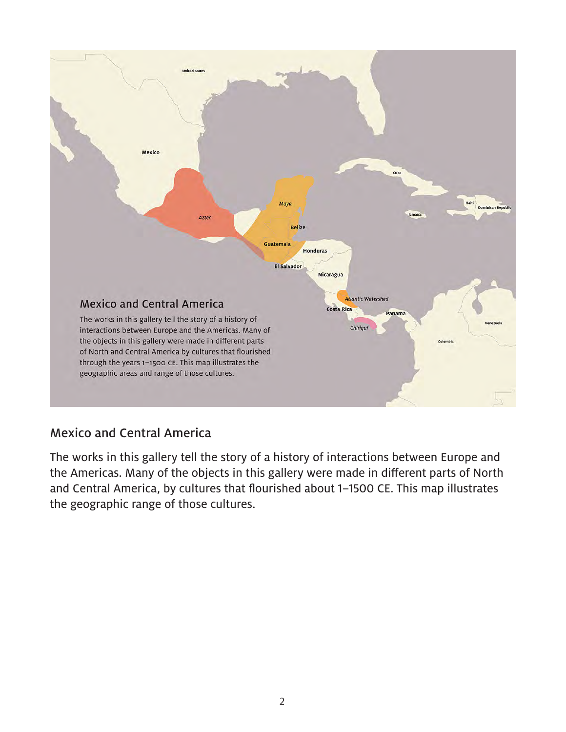

# Mexico and Central America

The works in this gallery tell the story of a history of interactions between Europe and the Americas. Many of the objects in this gallery were made in different parts of North and Central America, by cultures that flourished about 1–1500 CE. This map illustrates the geographic range of those cultures.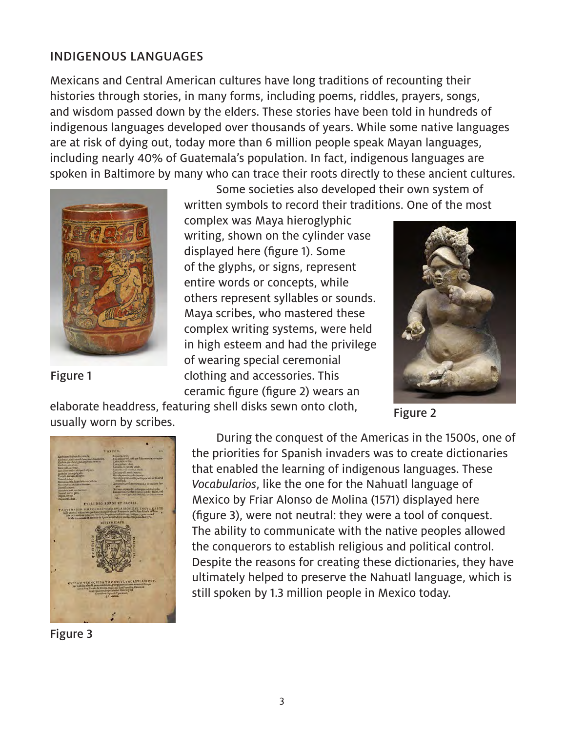# INDIGENOUS LANGUAGES

Mexicans and Central American cultures have long traditions of recounting their histories through stories, in many forms, including poems, riddles, prayers, songs, and wisdom passed down by the elders. These stories have been told in hundreds of indigenous languages developed over thousands of years. While some native languages are at risk of dying out, today more than 6 million people speak Mayan languages, including nearly 40% of Guatemala's population. In fact, indigenous languages are spoken in Baltimore by many who can trace their roots directly to these ancient cultures.



Figure 1

Some societies also developed their own system of written symbols to record their traditions. One of the most

complex was Maya hieroglyphic writing, shown on the cylinder vase displayed here (figure 1). Some of the glyphs, or signs, represent entire words or concepts, while others represent syllables or sounds. Maya scribes, who mastered these complex writing systems, were held in high esteem and had the privilege of wearing special ceremonial clothing and accessories. This ceramic figure (figure 2) wears an



elaborate headdress, featuring shell disks sewn onto cloth, usually worn by scribes.

Figure 2



Figure 3

During the conquest of the Americas in the 1500s, one of the priorities for Spanish invaders was to create dictionaries that enabled the learning of indigenous languages. These *Vocabularios*, like the one for the Nahuatl language of Mexico by Friar Alonso de Molina (1571) displayed here (figure 3), were not neutral: they were a tool of conquest. The ability to communicate with the native peoples allowed the conquerors to establish religious and political control. Despite the reasons for creating these dictionaries, they have ultimately helped to preserve the Nahuatl language, which is still spoken by 1.3 million people in Mexico today.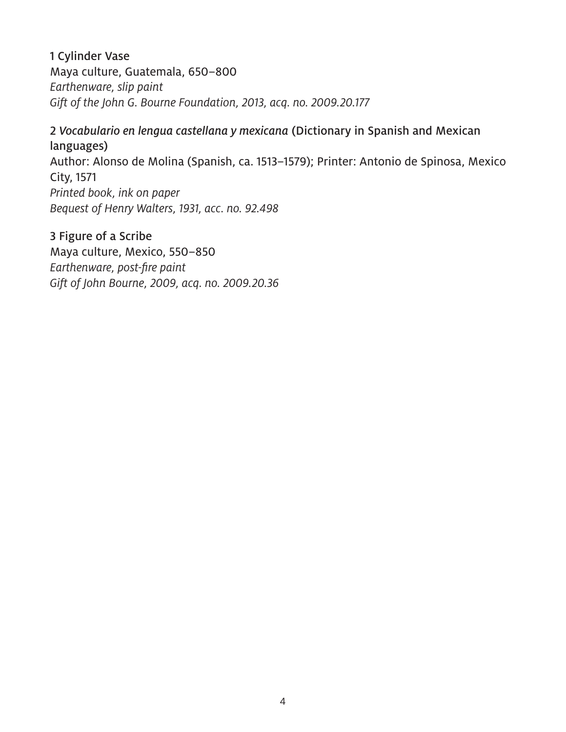1 Cylinder Vase Maya culture, Guatemala, 650–800 *Earthenware, slip paint Gift of the John G. Bourne Foundation, 2013, acq. no. 2009.20.177*

### 2 *Vocabulario en lengua castellana y mexicana* (Dictionary in Spanish and Mexican languages) Author: Alonso de Molina (Spanish, ca. 1513–1579); Printer: Antonio de Spinosa, Mexico City, 1571 *Printed book, ink on paper Bequest of Henry Walters, 1931, acc. no. 92.498*

3 Figure of a Scribe

Maya culture, Mexico, 550–850 *Earthenware, post-fire paint Gift of John Bourne, 2009, acq. no. 2009.20.36*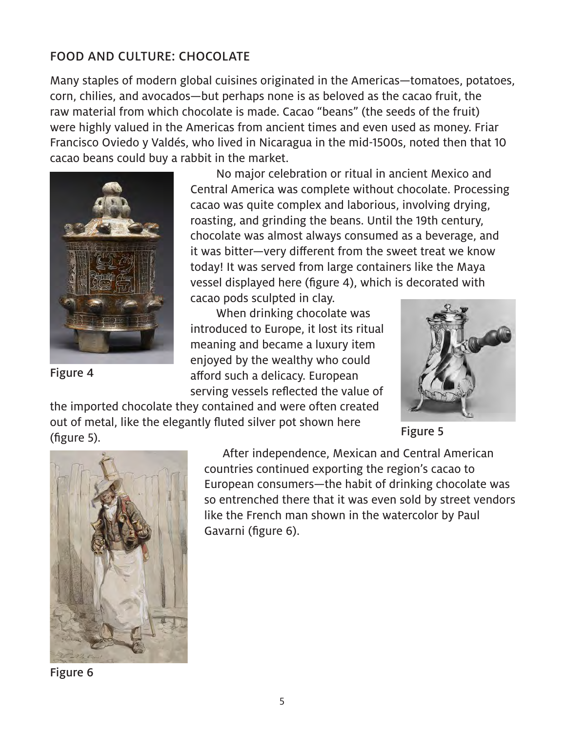# FOOD AND CULTURE: CHOCOLATE

Many staples of modern global cuisines originated in the Americas—tomatoes, potatoes, corn, chilies, and avocados—but perhaps none is as beloved as the cacao fruit, the raw material from which chocolate is made. Cacao "beans" (the seeds of the fruit) were highly valued in the Americas from ancient times and even used as money. Friar Francisco Oviedo y Valdés, who lived in Nicaragua in the mid-1500s, noted then that 10 cacao beans could buy a rabbit in the market.



Figure 4

No major celebration or ritual in ancient Mexico and Central America was complete without chocolate. Processing cacao was quite complex and laborious, involving drying, roasting, and grinding the beans. Until the 19th century, chocolate was almost always consumed as a beverage, and it was bitter—very different from the sweet treat we know today! It was served from large containers like the Maya vessel displayed here (figure 4), which is decorated with cacao pods sculpted in clay.

When drinking chocolate was introduced to Europe, it lost its ritual meaning and became a luxury item enjoyed by the wealthy who could afford such a delicacy. European serving vessels reflected the value of



the imported chocolate they contained and were often created out of metal, like the elegantly fluted silver pot shown here (figure 5).

Figure 5



 After independence, Mexican and Central American countries continued exporting the region's cacao to European consumers—the habit of drinking chocolate was so entrenched there that it was even sold by street vendors like the French man shown in the watercolor by Paul Gavarni (figure 6).

Figure 6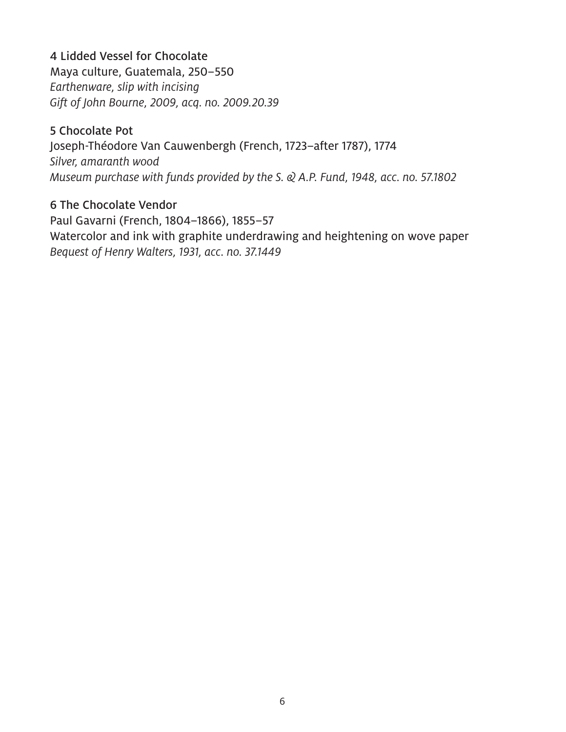#### 4 Lidded Vessel for Chocolate

Maya culture, Guatemala, 250–550 *Earthenware, slip with incising Gift of John Bourne, 2009, acq. no. 2009.20.39*

#### 5 Chocolate Pot

Joseph-Théodore Van Cauwenbergh (French, 1723–after 1787), 1774 *Silver, amaranth wood Museum purchase with funds provided by the S. & A.P. Fund, 1948, acc. no. 57.1802*

6 The Chocolate Vendor Paul Gavarni (French, 1804–1866), 1855–57 Watercolor and ink with graphite underdrawing and heightening on wove paper *Bequest of Henry Walters, 1931, acc. no. 37.1449*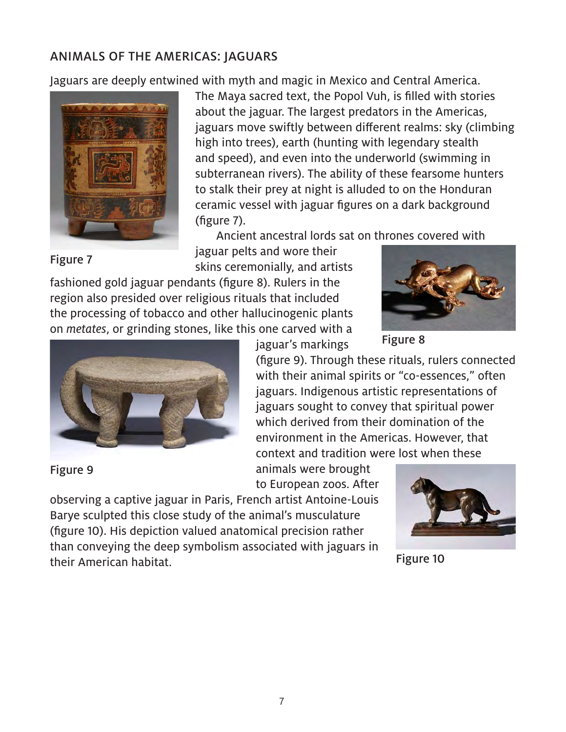# ANIMALS OF THE AMERICAS: JAGUARS

Jaguars are deeply entwined with myth and magic in Mexico and Central America.



The Maya sacred text, the Popol Vuh, is filled with stories about the jaguar. The largest predators in the Americas, jaguars move swiftly between different realms: sky (climbing high into trees), earth (hunting with legendary stealth and speed), and even into the underworld (swimming in subterranean rivers). The ability of these fearsome hunters to stalk their prey at night is alluded to on the Honduran ceramic vessel with jaguar figures on a dark background (figure 7).

Ancient ancestral lords sat on thrones covered with

jaguar pelts and wore their skins ceremonially, and artists

fashioned gold jaguar pendants (figure 8). Rulers in the region also presided over religious rituals that included the processing of tobacco and other hallucinogenic plants on *metates*, or grinding stones, like this one carved with a



Figure 8



Figure 9

Figure 7

jaguar's markings

(figure 9). Through these rituals, rulers connected with their animal spirits or "co-essences," often jaguars. Indigenous artistic representations of jaguars sought to convey that spiritual power which derived from their domination of the environment in the Americas. However, that context and tradition were lost when these

animals were brought to European zoos. After

observing a captive jaguar in Paris, French artist Antoine-Louis Barye sculpted this close study of the animal's musculature (figure 10). His depiction valued anatomical precision rather than conveying the deep symbolism associated with jaguars in their American habitat.



Figure 10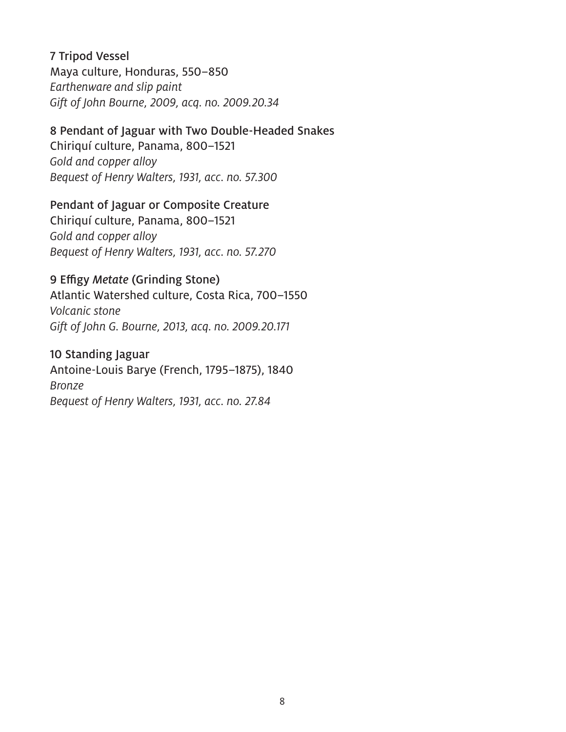7 Tripod Vessel Maya culture, Honduras, 550–850 *Earthenware and slip paint Gift of John Bourne, 2009, acq. no. 2009.20.34*

#### 8 Pendant of Jaguar with Two Double-Headed Snakes

Chiriquí culture, Panama, 800–1521 *Gold and copper alloy Bequest of Henry Walters, 1931, acc. no. 57.300*

### Pendant of Jaguar or Composite Creature

Chiriquí culture, Panama, 800–1521 *Gold and copper alloy Bequest of Henry Walters, 1931, acc. no. 57.270*

#### 9 Effigy *Metate* (Grinding Stone)

Atlantic Watershed culture, Costa Rica, 700–1550 *Volcanic stone Gift of John G. Bourne, 2013, acq. no. 2009.20.171*

#### 10 Standing Jaguar

Antoine-Louis Barye (French, 1795–1875), 1840 *Bronze Bequest of Henry Walters, 1931, acc. no. 27.84*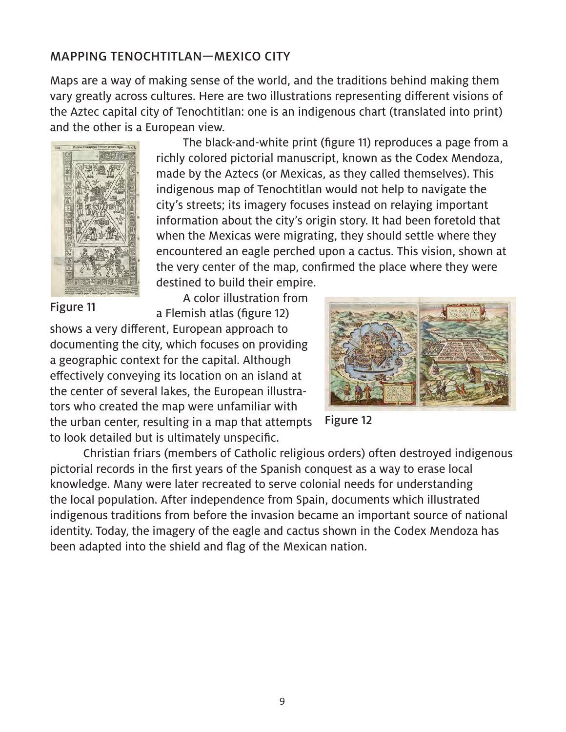### MAPPING TENOCHTITLAN—MEXICO CITY

Maps are a way of making sense of the world, and the traditions behind making them vary greatly across cultures. Here are two illustrations representing different visions of the Aztec capital city of Tenochtitlan: one is an indigenous chart (translated into print) and the other is a European view.



The black-and-white print (figure 11) reproduces a page from a richly colored pictorial manuscript, known as the Codex Mendoza, made by the Aztecs (or Mexicas, as they called themselves). This indigenous map of Tenochtitlan would not help to navigate the city's streets; its imagery focuses instead on relaying important information about the city's origin story. It had been foretold that when the Mexicas were migrating, they should settle where they encountered an eagle perched upon a cactus. This vision, shown at the very center of the map, confirmed the place where they were destined to build their empire.

Figure 11

A color illustration from a Flemish atlas (figure 12)

shows a very different, European approach to documenting the city, which focuses on providing a geographic context for the capital. Although effectively conveying its location on an island at the center of several lakes, the European illustrators who created the map were unfamiliar with the urban center, resulting in a map that attempts to look detailed but is ultimately unspecific.



Figure 12

Christian friars (members of Catholic religious orders) often destroyed indigenous pictorial records in the first years of the Spanish conquest as a way to erase local knowledge. Many were later recreated to serve colonial needs for understanding the local population. After independence from Spain, documents which illustrated indigenous traditions from before the invasion became an important source of national identity. Today, the imagery of the eagle and cactus shown in the Codex Mendoza has been adapted into the shield and flag of the Mexican nation.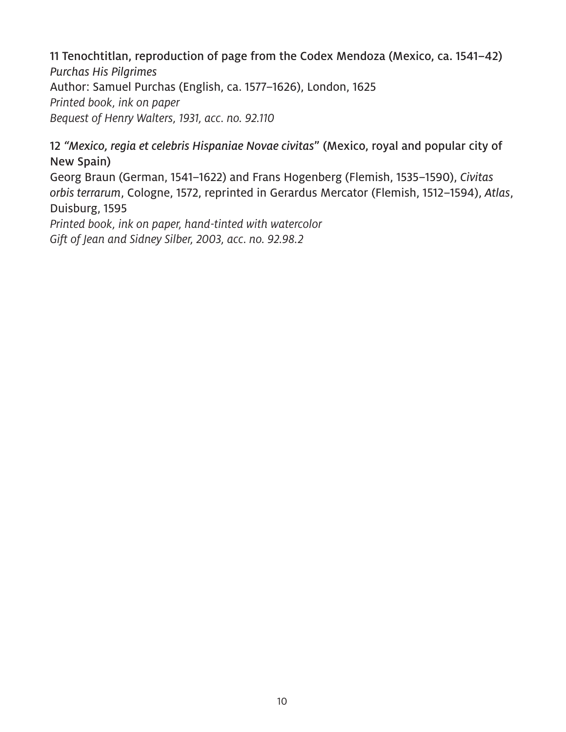11 Tenochtitlan, reproduction of page from the Codex Mendoza (Mexico, ca. 1541–42) *Purchas His Pilgrimes* Author: Samuel Purchas (English, ca. 1577–1626), London, 1625 *Printed book, ink on paper Bequest of Henry Walters, 1931, acc. no. 92.110*

12 *"Mexico, regia et celebris Hispaniae Novae civitas*" (Mexico, royal and popular city of New Spain) Georg Braun (German, 1541–1622) and Frans Hogenberg (Flemish, 1535–1590), *Civitas orbis terrarum*, Cologne, 1572, reprinted in Gerardus Mercator (Flemish, 1512–1594), *Atlas*, Duisburg, 1595 *Printed book, ink on paper, hand-tinted with watercolor Gift of Jean and Sidney Silber, 2003, acc. no. 92.98.2*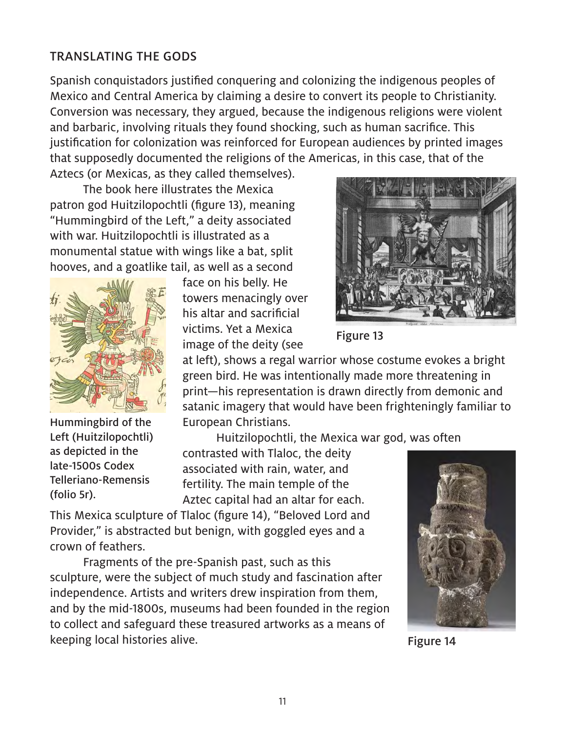# TRANSLATING THE GODS

Spanish conquistadors justified conquering and colonizing the indigenous peoples of Mexico and Central America by claiming a desire to convert its people to Christianity. Conversion was necessary, they argued, because the indigenous religions were violent and barbaric, involving rituals they found shocking, such as human sacrifice. This justification for colonization was reinforced for European audiences by printed images that supposedly documented the religions of the Americas, in this case, that of the

Aztecs (or Mexicas, as they called themselves).

The book here illustrates the Mexica patron god Huitzilopochtli (figure 13), meaning "Hummingbird of the Left," a deity associated with war. Huitzilopochtli is illustrated as a monumental statue with wings like a bat, split hooves, and a goatlike tail, as well as a second



Hummingbird of the Left (Huitzilopochtli) as depicted in the late-1500s Codex Telleriano-Remensis (folio 5r).

face on his belly. He towers menacingly over his altar and sacrificial victims. Yet a Mexica image of the deity (see



Figure 13

at left), shows a regal warrior whose costume evokes a bright green bird. He was intentionally made more threatening in print—his representation is drawn directly from demonic and satanic imagery that would have been frighteningly familiar to European Christians.

Huitzilopochtli, the Mexica war god, was often

contrasted with Tlaloc, the deity associated with rain, water, and fertility. The main temple of the Aztec capital had an altar for each.

This Mexica sculpture of Tlaloc (figure 14), "Beloved Lord and Provider," is abstracted but benign, with goggled eyes and a crown of feathers.

Fragments of the pre-Spanish past, such as this sculpture, were the subject of much study and fascination after independence. Artists and writers drew inspiration from them, and by the mid-1800s, museums had been founded in the region to collect and safeguard these treasured artworks as a means of keeping local histories alive.



Figure 14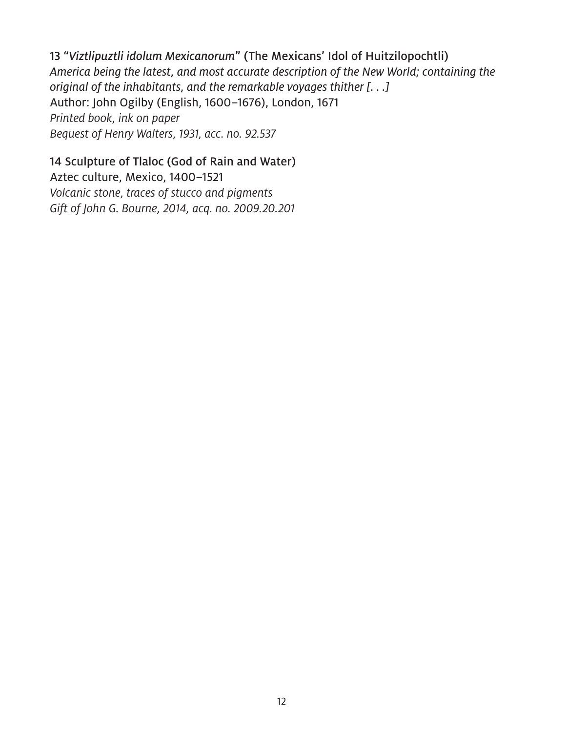13 "*Viztlipuztli idolum Mexicanorum*" (The Mexicans' Idol of Huitzilopochtli) *America being the latest, and most accurate description of the New World; containing the original of the inhabitants, and the remarkable voyages thither [. . .]* Author: John Ogilby (English, 1600–1676), London, 1671 *Printed book, ink on paper Bequest of Henry Walters, 1931, acc. no. 92.537*

#### 14 Sculpture of Tlaloc (God of Rain and Water)

Aztec culture, Mexico, 1400–1521 *Volcanic stone, traces of stucco and pigments Gift of John G. Bourne, 2014, acq. no. 2009.20.201*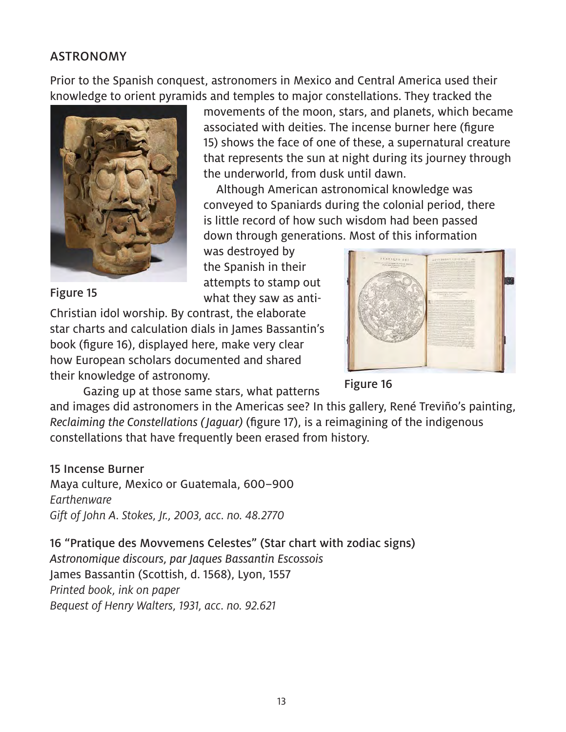### ASTRONOMY

Prior to the Spanish conquest, astronomers in Mexico and Central America used their knowledge to orient pyramids and temples to major constellations. They tracked the



Figure 15

movements of the moon, stars, and planets, which became associated with deities. The incense burner here (figure 15) shows the face of one of these, a supernatural creature that represents the sun at night during its journey through the underworld, from dusk until dawn.

Although American astronomical knowledge was conveyed to Spaniards during the colonial period, there is little record of how such wisdom had been passed down through generations. Most of this information

was destroyed by the Spanish in their attempts to stamp out what they saw as anti-

Christian idol worship. By contrast, the elaborate star charts and calculation dials in James Bassantin's book (figure 16), displayed here, make very clear how European scholars documented and shared their knowledge of astronomy.



Gazing up at those same stars, what patterns

Figure 16

and images did astronomers in the Americas see? In this gallery, René Treviño's painting, *Reclaiming the Constellations ( Jaguar)* (figure 17), is a reimagining of the indigenous constellations that have frequently been erased from history.

15 Incense Burner Maya culture, Mexico or Guatemala, 600–900 *Earthenware Gift of John A. Stokes, Jr., 2003, acc. no. 48.2770*

16 "Pratique des Movvemens Celestes" (Star chart with zodiac signs) *Astronomique discours, par Jaques Bassantin Escossois* James Bassantin (Scottish, d. 1568), Lyon, 1557 *Printed book, ink on paper Bequest of Henry Walters, 1931, acc. no. 92.621*